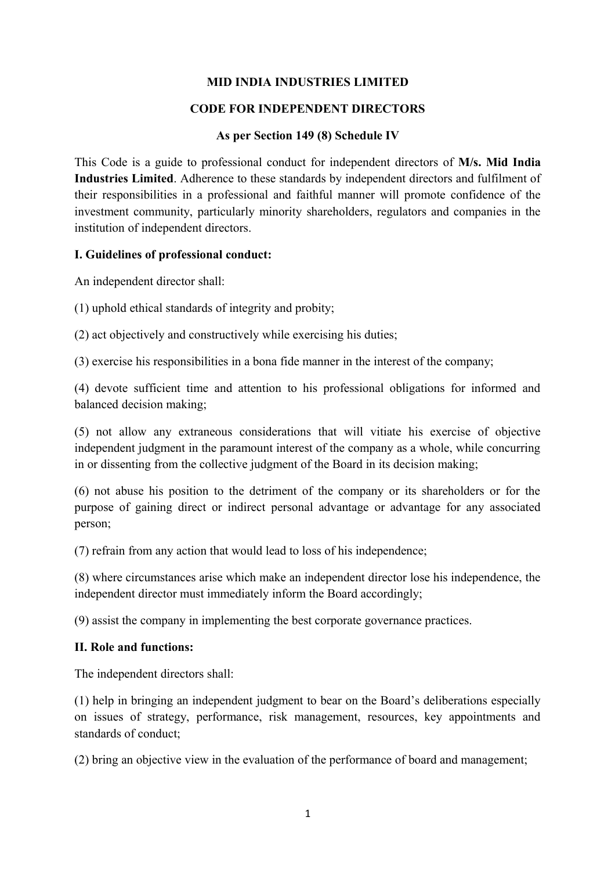### **MID INDIA INDUSTRIES LIMITED**

#### **CODE FOR INDEPENDENT DIRECTORS**

#### **As per Section 149 (8) Schedule IV**

This Code is a guide to professional conduct for independent directors of **M/s. Mid India Industries Limited**. Adherence to these standards by independent directors and fulfilment of their responsibilities in a professional and faithful manner will promote confidence of the investment community, particularly minority shareholders, regulators and companies in the institution of independent directors.

#### **I. Guidelines of professional conduct:**

An independent director shall:

(1) uphold ethical standards of integrity and probity;

(2) act objectively and constructively while exercising his duties;

(3) exercise his responsibilities in a bona fide manner in the interest of the company;

(4) devote sufficient time and attention to his professional obligations for informed and balanced decision making;

(5) not allow any extraneous considerations that will vitiate his exercise of objective independent judgment in the paramount interest of the company as a whole, while concurring in or dissenting from the collective judgment of the Board in its decision making;

(6) not abuse his position to the detriment of the company or its shareholders or for the purpose of gaining direct or indirect personal advantage or advantage for any associated person;

(7) refrain from any action that would lead to loss of his independence;

(8) where circumstances arise which make an independent director lose his independence, the independent director must immediately inform the Board accordingly;

(9) assist the company in implementing the best corporate governance practices.

### **II. Role and functions:**

The independent directors shall:

(1) help in bringing an independent judgment to bear on the Board's deliberations especially on issues of strategy, performance, risk management, resources, key appointments and standards of conduct;

(2) bring an objective view in the evaluation of the performance of board and management;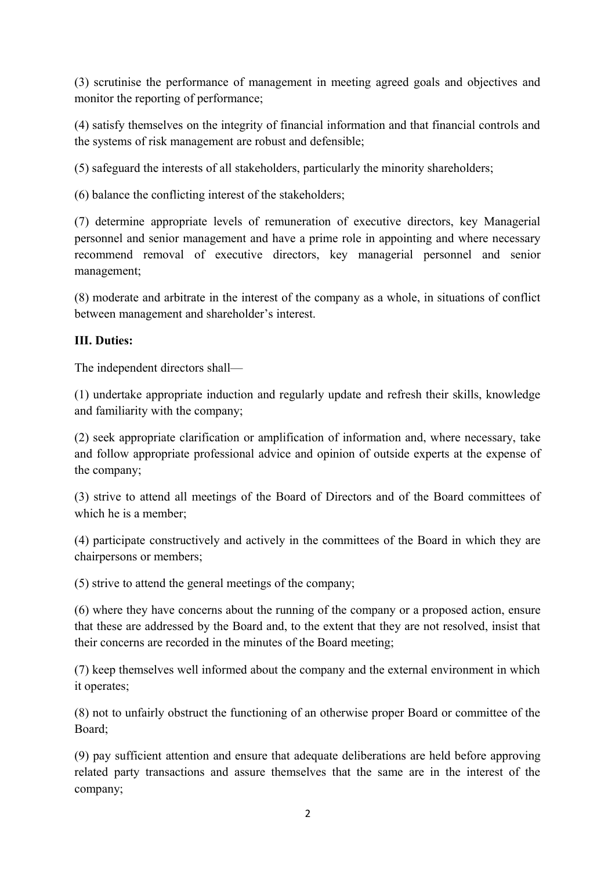(3) scrutinise the performance of management in meeting agreed goals and objectives and monitor the reporting of performance;

(4) satisfy themselves on the integrity of financial information and that financial controls and the systems of risk management are robust and defensible;

(5) safeguard the interests of all stakeholders, particularly the minority shareholders;

(6) balance the conflicting interest of the stakeholders;

(7) determine appropriate levels of remuneration of executive directors, key Managerial personnel and senior management and have a prime role in appointing and where necessary recommend removal of executive directors, key managerial personnel and senior management;

(8) moderate and arbitrate in the interest of the company as a whole, in situations of conflict between management and shareholder's interest.

### **III. Duties:**

The independent directors shall—

(1) undertake appropriate induction and regularly update and refresh their skills, knowledge and familiarity with the company;

(2) seek appropriate clarification or amplification of information and, where necessary, take and follow appropriate professional advice and opinion of outside experts at the expense of the company;

(3) strive to attend all meetings of the Board of Directors and of the Board committees of which he is a member;

(4) participate constructively and actively in the committees of the Board in which they are chairpersons or members;

(5) strive to attend the general meetings of the company;

(6) where they have concerns about the running of the company or a proposed action, ensure that these are addressed by the Board and, to the extent that they are not resolved, insist that their concerns are recorded in the minutes of the Board meeting;

(7) keep themselves well informed about the company and the external environment in which it operates;

(8) not to unfairly obstruct the functioning of an otherwise proper Board or committee of the Board;

(9) pay sufficient attention and ensure that adequate deliberations are held before approving related party transactions and assure themselves that the same are in the interest of the company;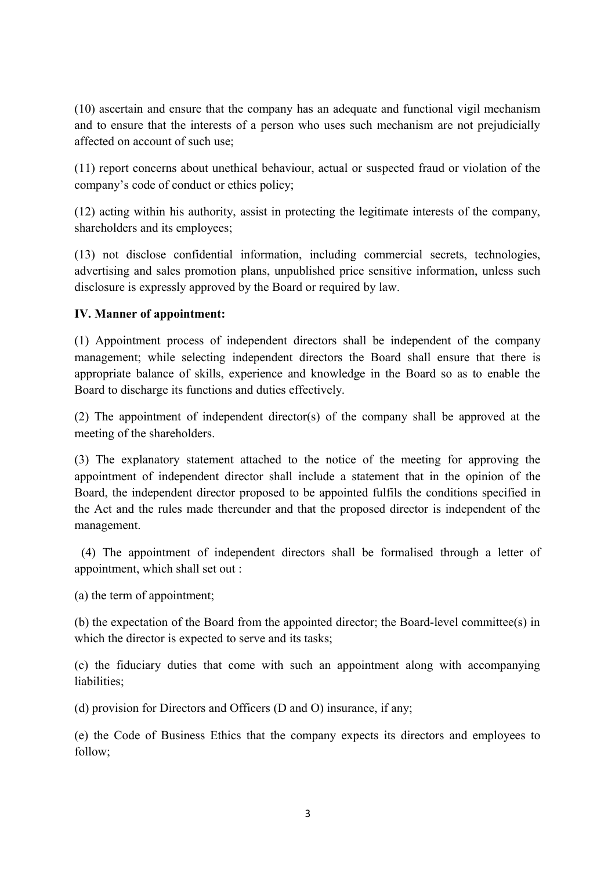(10) ascertain and ensure that the company has an adequate and functional vigil mechanism and to ensure that the interests of a person who uses such mechanism are not prejudicially affected on account of such use;

(11) report concerns about unethical behaviour, actual or suspected fraud or violation of the company's code of conduct or ethics policy;

(12) acting within his authority, assist in protecting the legitimate interests of the company, shareholders and its employees;

(13) not disclose confidential information, including commercial secrets, technologies, advertising and sales promotion plans, unpublished price sensitive information, unless such disclosure is expressly approved by the Board or required by law.

### **IV. Manner of appointment:**

(1) Appointment process of independent directors shall be independent of the company management; while selecting independent directors the Board shall ensure that there is appropriate balance of skills, experience and knowledge in the Board so as to enable the Board to discharge its functions and duties effectively.

(2) The appointment of independent director(s) of the company shall be approved at the meeting of the shareholders.

(3) The explanatory statement attached to the notice of the meeting for approving the appointment of independent director shall include a statement that in the opinion of the Board, the independent director proposed to be appointed fulfils the conditions specified in the Act and the rules made thereunder and that the proposed director is independent of the management.

 (4) The appointment of independent directors shall be formalised through a letter of appointment, which shall set out :

(a) the term of appointment;

(b) the expectation of the Board from the appointed director; the Board-level committee(s) in which the director is expected to serve and its tasks;

(c) the fiduciary duties that come with such an appointment along with accompanying liabilities;

(d) provision for Directors and Officers (D and O) insurance, if any;

(e) the Code of Business Ethics that the company expects its directors and employees to follow;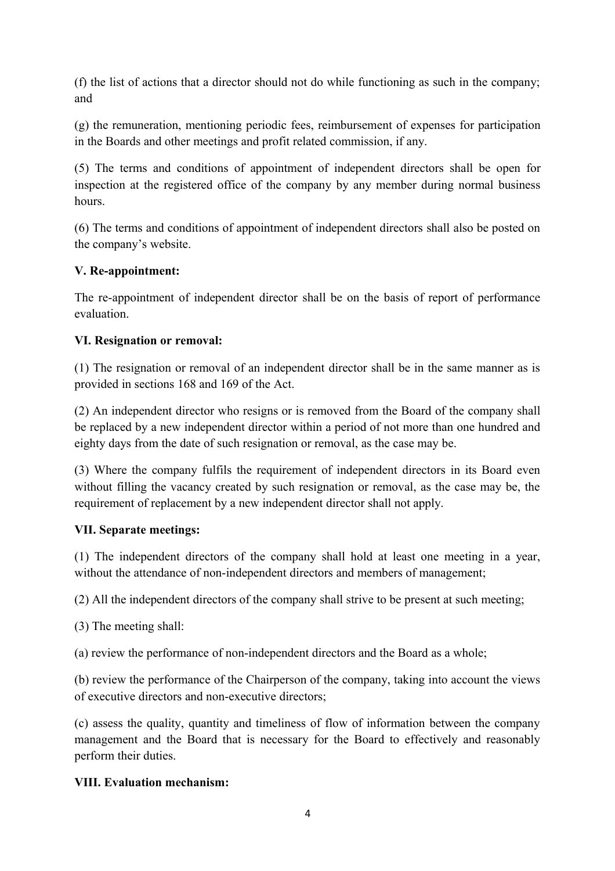(f) the list of actions that a director should not do while functioning as such in the company; and

(g) the remuneration, mentioning periodic fees, reimbursement of expenses for participation in the Boards and other meetings and profit related commission, if any.

(5) The terms and conditions of appointment of independent directors shall be open for inspection at the registered office of the company by any member during normal business hours.

(6) The terms and conditions of appointment of independent directors shall also be posted on the company's website.

## **V. Re-appointment:**

The re-appointment of independent director shall be on the basis of report of performance evaluation.

### **VI. Resignation or removal:**

(1) The resignation or removal of an independent director shall be in the same manner as is provided in sections 168 and 169 of the Act.

(2) An independent director who resigns or is removed from the Board of the company shall be replaced by a new independent director within a period of not more than one hundred and eighty days from the date of such resignation or removal, as the case may be.

(3) Where the company fulfils the requirement of independent directors in its Board even without filling the vacancy created by such resignation or removal, as the case may be, the requirement of replacement by a new independent director shall not apply.

### **VII. Separate meetings:**

(1) The independent directors of the company shall hold at least one meeting in a year, without the attendance of non-independent directors and members of management;

(2) All the independent directors of the company shall strive to be present at such meeting;

(3) The meeting shall:

(a) review the performance of non-independent directors and the Board as a whole;

(b) review the performance of the Chairperson of the company, taking into account the views of executive directors and non-executive directors;

(c) assess the quality, quantity and timeliness of flow of information between the company management and the Board that is necessary for the Board to effectively and reasonably perform their duties.

# **VIII. Evaluation mechanism:**